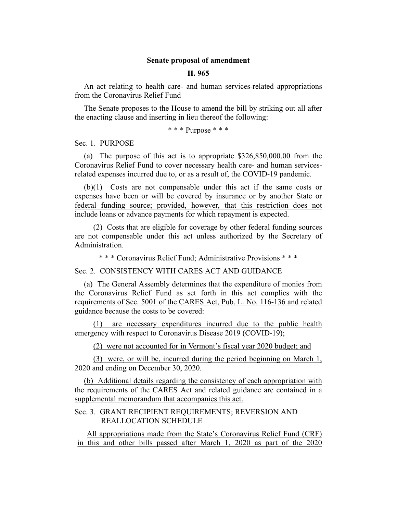#### **Senate proposal of amendment**

#### **H. 965**

An act relating to health care- and human services-related appropriations from the Coronavirus Relief Fund

The Senate proposes to the House to amend the bill by striking out all after the enacting clause and inserting in lieu thereof the following:

#### \* \* \* Purpose \* \* \*

Sec. 1. PURPOSE

(a) The purpose of this act is to appropriate \$326,850,000.00 from the Coronavirus Relief Fund to cover necessary health care- and human servicesrelated expenses incurred due to, or as a result of, the COVID-19 pandemic.

(b)(1) Costs are not compensable under this act if the same costs or expenses have been or will be covered by insurance or by another State or federal funding source; provided, however, that this restriction does not include loans or advance payments for which repayment is expected.

(2) Costs that are eligible for coverage by other federal funding sources are not compensable under this act unless authorized by the Secretary of Administration.

\* \* \* Coronavirus Relief Fund; Administrative Provisions \* \* \*

Sec. 2. CONSISTENCY WITH CARES ACT AND GUIDANCE

(a) The General Assembly determines that the expenditure of monies from the Coronavirus Relief Fund as set forth in this act complies with the requirements of Sec. 5001 of the CARES Act, Pub. L. No. 116-136 and related guidance because the costs to be covered:

(1) are necessary expenditures incurred due to the public health emergency with respect to Coronavirus Disease 2019 (COVID-19);

(2) were not accounted for in Vermont's fiscal year 2020 budget; and

(3) were, or will be, incurred during the period beginning on March 1, 2020 and ending on December 30, 2020.

(b) Additional details regarding the consistency of each appropriation with the requirements of the CARES Act and related guidance are contained in a supplemental memorandum that accompanies this act.

## Sec. 3. GRANT RECIPIENT REQUIREMENTS; REVERSION AND REALLOCATION SCHEDULE

All appropriations made from the State's Coronavirus Relief Fund (CRF) in this and other bills passed after March 1, 2020 as part of the 2020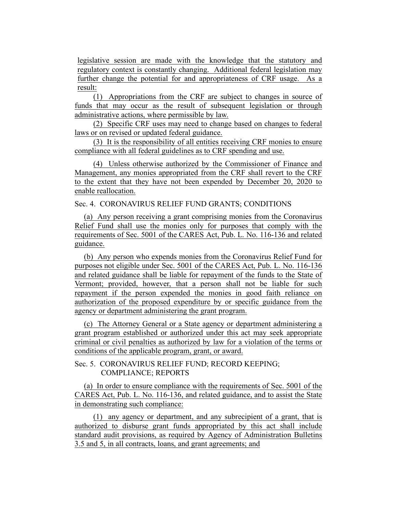legislative session are made with the knowledge that the statutory and regulatory context is constantly changing. Additional federal legislation may further change the potential for and appropriateness of CRF usage. As a result:

(1) Appropriations from the CRF are subject to changes in source of funds that may occur as the result of subsequent legislation or through administrative actions, where permissible by law.

(2) Specific CRF uses may need to change based on changes to federal laws or on revised or updated federal guidance.

(3) It is the responsibility of all entities receiving CRF monies to ensure compliance with all federal guidelines as to CRF spending and use.

(4) Unless otherwise authorized by the Commissioner of Finance and Management, any monies appropriated from the CRF shall revert to the CRF to the extent that they have not been expended by December 20, 2020 to enable reallocation.

Sec. 4. CORONAVIRUS RELIEF FUND GRANTS; CONDITIONS

(a) Any person receiving a grant comprising monies from the Coronavirus Relief Fund shall use the monies only for purposes that comply with the requirements of Sec. 5001 of the CARES Act, Pub. L. No. 116-136 and related guidance.

(b) Any person who expends monies from the Coronavirus Relief Fund for purposes not eligible under Sec. 5001 of the CARES Act, Pub. L. No. 116-136 and related guidance shall be liable for repayment of the funds to the State of Vermont; provided, however, that a person shall not be liable for such repayment if the person expended the monies in good faith reliance on authorization of the proposed expenditure by or specific guidance from the agency or department administering the grant program.

(c) The Attorney General or a State agency or department administering a grant program established or authorized under this act may seek appropriate criminal or civil penalties as authorized by law for a violation of the terms or conditions of the applicable program, grant, or award.

Sec. 5. CORONAVIRUS RELIEF FUND; RECORD KEEPING; COMPLIANCE; REPORTS

(a) In order to ensure compliance with the requirements of Sec. 5001 of the CARES Act, Pub. L. No. 116-136, and related guidance, and to assist the State in demonstrating such compliance:

(1) any agency or department, and any subrecipient of a grant, that is authorized to disburse grant funds appropriated by this act shall include standard audit provisions, as required by Agency of Administration Bulletins 3.5 and 5, in all contracts, loans, and grant agreements; and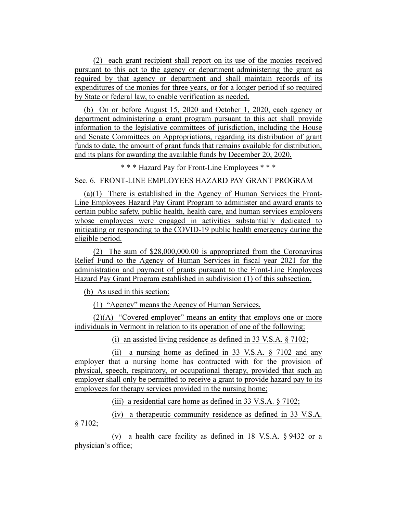(2) each grant recipient shall report on its use of the monies received pursuant to this act to the agency or department administering the grant as required by that agency or department and shall maintain records of its expenditures of the monies for three years, or for a longer period if so required by State or federal law, to enable verification as needed.

(b) On or before August 15, 2020 and October 1, 2020, each agency or department administering a grant program pursuant to this act shall provide information to the legislative committees of jurisdiction, including the House and Senate Committees on Appropriations, regarding its distribution of grant funds to date, the amount of grant funds that remains available for distribution, and its plans for awarding the available funds by December 20, 2020.

\* \* \* Hazard Pay for Front-Line Employees \* \* \*

Sec. 6. FRONT-LINE EMPLOYEES HAZARD PAY GRANT PROGRAM

(a)(1) There is established in the Agency of Human Services the Front-Line Employees Hazard Pay Grant Program to administer and award grants to certain public safety, public health, health care, and human services employers whose employees were engaged in activities substantially dedicated to mitigating or responding to the COVID-19 public health emergency during the eligible period.

(2) The sum of \$28,000,000.00 is appropriated from the Coronavirus Relief Fund to the Agency of Human Services in fiscal year 2021 for the administration and payment of grants pursuant to the Front-Line Employees Hazard Pay Grant Program established in subdivision (1) of this subsection.

(b) As used in this section:

(1) "Agency" means the Agency of Human Services.

(2)(A) "Covered employer" means an entity that employs one or more individuals in Vermont in relation to its operation of one of the following:

(i) an assisted living residence as defined in 33 V.S.A. § 7102;

(ii) a nursing home as defined in 33 V.S.A. § 7102 and any employer that a nursing home has contracted with for the provision of physical, speech, respiratory, or occupational therapy, provided that such an employer shall only be permitted to receive a grant to provide hazard pay to its employees for therapy services provided in the nursing home;

(iii) a residential care home as defined in 33 V.S.A. § 7102;

(iv) a therapeutic community residence as defined in 33 V.S.A.  $§ 7102;$ 

(v) a health care facility as defined in 18 V.S.A. § 9432 or a physician's office;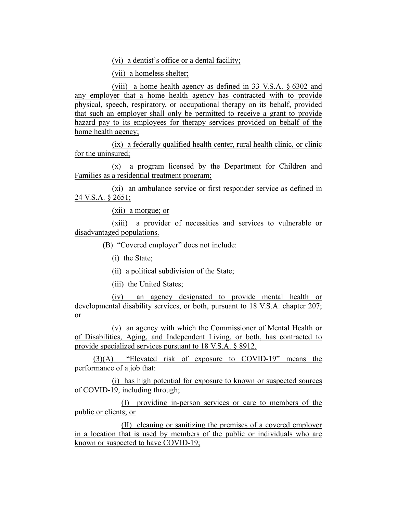(vi) a dentist's office or a dental facility;

(vii) a homeless shelter;

(viii) a home health agency as defined in 33 V.S.A. § 6302 and any employer that a home health agency has contracted with to provide physical, speech, respiratory, or occupational therapy on its behalf, provided that such an employer shall only be permitted to receive a grant to provide hazard pay to its employees for therapy services provided on behalf of the home health agency;

(ix) a federally qualified health center, rural health clinic, or clinic for the uninsured;

(x) a program licensed by the Department for Children and Families as a residential treatment program;

(xi) an ambulance service or first responder service as defined in 24 V.S.A. § 2651;

(xii) a morgue; or

(xiii) a provider of necessities and services to vulnerable or disadvantaged populations.

(B) "Covered employer" does not include:

(i) the State;

(ii) a political subdivision of the State;

(iii) the United States;

(iv) an agency designated to provide mental health or developmental disability services, or both, pursuant to 18 V.S.A. chapter 207; or

(v) an agency with which the Commissioner of Mental Health or of Disabilities, Aging, and Independent Living, or both, has contracted to provide specialized services pursuant to 18 V.S.A. § 8912.

(3)(A) "Elevated risk of exposure to COVID-19" means the performance of a job that:

(i) has high potential for exposure to known or suspected sources of COVID-19, including through;

(I) providing in-person services or care to members of the public or clients; or

(II) cleaning or sanitizing the premises of a covered employer in a location that is used by members of the public or individuals who are known or suspected to have COVID-19;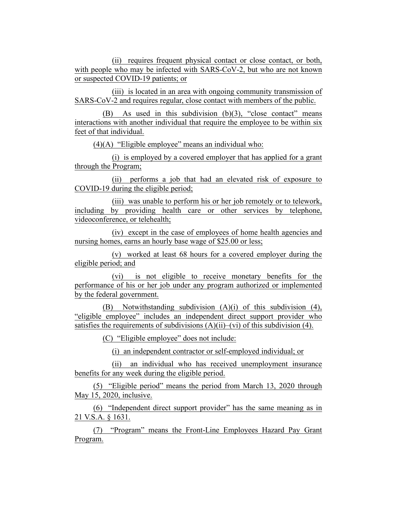(ii) requires frequent physical contact or close contact, or both, with people who may be infected with SARS-CoV-2, but who are not known or suspected COVID-19 patients; or

(iii) is located in an area with ongoing community transmission of SARS-CoV-2 and requires regular, close contact with members of the public.

(B) As used in this subdivision (b)(3), "close contact" means interactions with another individual that require the employee to be within six feet of that individual.

(4)(A) "Eligible employee" means an individual who:

(i) is employed by a covered employer that has applied for a grant through the Program;

(ii) performs a job that had an elevated risk of exposure to COVID-19 during the eligible period;

(iii) was unable to perform his or her job remotely or to telework, including by providing health care or other services by telephone, videoconference, or telehealth;

(iv) except in the case of employees of home health agencies and nursing homes, earns an hourly base wage of \$25.00 or less;

(v) worked at least 68 hours for a covered employer during the eligible period; and

(vi) is not eligible to receive monetary benefits for the performance of his or her job under any program authorized or implemented by the federal government.

(B) Notwithstanding subdivision (A)(i) of this subdivision (4), "eligible employee" includes an independent direct support provider who satisfies the requirements of subdivisions  $(A)(ii)$ – $(vi)$  of this subdivision (4).

(C) "Eligible employee" does not include:

(i) an independent contractor or self-employed individual; or

(ii) an individual who has received unemployment insurance benefits for any week during the eligible period.

(5) "Eligible period" means the period from March 13, 2020 through May 15, 2020, inclusive.

(6) "Independent direct support provider" has the same meaning as in 21 V.S.A. § 1631.

(7) "Program" means the Front-Line Employees Hazard Pay Grant Program.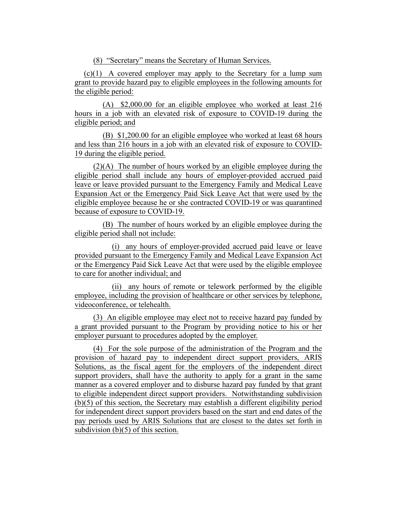(8) "Secretary" means the Secretary of Human Services.

 $(c)(1)$  A covered employer may apply to the Secretary for a lump sum grant to provide hazard pay to eligible employees in the following amounts for the eligible period:

(A) \$2,000.00 for an eligible employee who worked at least 216 hours in a job with an elevated risk of exposure to COVID-19 during the eligible period; and

(B) \$1,200.00 for an eligible employee who worked at least 68 hours and less than 216 hours in a job with an elevated risk of exposure to COVID-19 during the eligible period.

(2)(A) The number of hours worked by an eligible employee during the eligible period shall include any hours of employer-provided accrued paid leave or leave provided pursuant to the Emergency Family and Medical Leave Expansion Act or the Emergency Paid Sick Leave Act that were used by the eligible employee because he or she contracted COVID-19 or was quarantined because of exposure to COVID-19.

(B) The number of hours worked by an eligible employee during the eligible period shall not include:

(i) any hours of employer-provided accrued paid leave or leave provided pursuant to the Emergency Family and Medical Leave Expansion Act or the Emergency Paid Sick Leave Act that were used by the eligible employee to care for another individual; and

(ii) any hours of remote or telework performed by the eligible employee, including the provision of healthcare or other services by telephone, videoconference, or telehealth.

(3) An eligible employee may elect not to receive hazard pay funded by a grant provided pursuant to the Program by providing notice to his or her employer pursuant to procedures adopted by the employer.

(4) For the sole purpose of the administration of the Program and the provision of hazard pay to independent direct support providers, ARIS Solutions, as the fiscal agent for the employers of the independent direct support providers, shall have the authority to apply for a grant in the same manner as a covered employer and to disburse hazard pay funded by that grant to eligible independent direct support providers. Notwithstanding subdivision (b)(5) of this section, the Secretary may establish a different eligibility period for independent direct support providers based on the start and end dates of the pay periods used by ARIS Solutions that are closest to the dates set forth in subdivision (b)(5) of this section.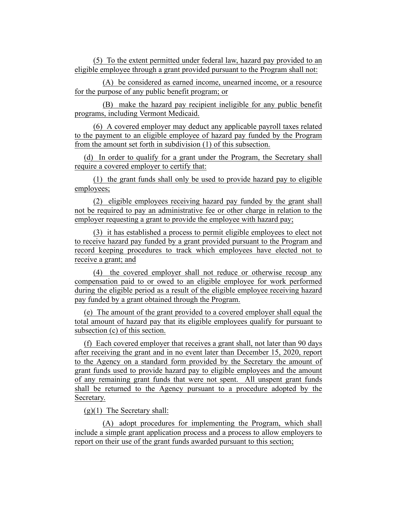(5) To the extent permitted under federal law, hazard pay provided to an eligible employee through a grant provided pursuant to the Program shall not:

(A) be considered as earned income, unearned income, or a resource for the purpose of any public benefit program; or

(B) make the hazard pay recipient ineligible for any public benefit programs, including Vermont Medicaid.

(6) A covered employer may deduct any applicable payroll taxes related to the payment to an eligible employee of hazard pay funded by the Program from the amount set forth in subdivision (1) of this subsection.

(d) In order to qualify for a grant under the Program, the Secretary shall require a covered employer to certify that:

(1) the grant funds shall only be used to provide hazard pay to eligible employees;

(2) eligible employees receiving hazard pay funded by the grant shall not be required to pay an administrative fee or other charge in relation to the employer requesting a grant to provide the employee with hazard pay;

(3) it has established a process to permit eligible employees to elect not to receive hazard pay funded by a grant provided pursuant to the Program and record keeping procedures to track which employees have elected not to receive a grant; and

(4) the covered employer shall not reduce or otherwise recoup any compensation paid to or owed to an eligible employee for work performed during the eligible period as a result of the eligible employee receiving hazard pay funded by a grant obtained through the Program.

(e) The amount of the grant provided to a covered employer shall equal the total amount of hazard pay that its eligible employees qualify for pursuant to subsection (c) of this section.

(f) Each covered employer that receives a grant shall, not later than 90 days after receiving the grant and in no event later than December 15, 2020, report to the Agency on a standard form provided by the Secretary the amount of grant funds used to provide hazard pay to eligible employees and the amount of any remaining grant funds that were not spent. All unspent grant funds shall be returned to the Agency pursuant to a procedure adopted by the Secretary.

(g)(1) The Secretary shall:

(A) adopt procedures for implementing the Program, which shall include a simple grant application process and a process to allow employers to report on their use of the grant funds awarded pursuant to this section;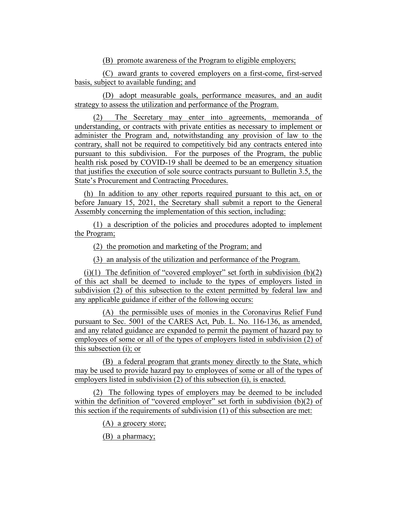(B) promote awareness of the Program to eligible employers;

(C) award grants to covered employers on a first-come, first-served basis, subject to available funding; and

(D) adopt measurable goals, performance measures, and an audit strategy to assess the utilization and performance of the Program.

(2) The Secretary may enter into agreements, memoranda of understanding, or contracts with private entities as necessary to implement or administer the Program and, notwithstanding any provision of law to the contrary, shall not be required to competitively bid any contracts entered into pursuant to this subdivision. For the purposes of the Program, the public health risk posed by COVID-19 shall be deemed to be an emergency situation that justifies the execution of sole source contracts pursuant to Bulletin 3.5, the State's Procurement and Contracting Procedures.

(h) In addition to any other reports required pursuant to this act, on or before January 15, 2021, the Secretary shall submit a report to the General Assembly concerning the implementation of this section, including:

(1) a description of the policies and procedures adopted to implement the Program;

(2) the promotion and marketing of the Program; and

(3) an analysis of the utilization and performance of the Program.

(i)(1) The definition of "covered employer" set forth in subdivision  $(b)(2)$ of this act shall be deemed to include to the types of employers listed in subdivision (2) of this subsection to the extent permitted by federal law and any applicable guidance if either of the following occurs:

(A) the permissible uses of monies in the Coronavirus Relief Fund pursuant to Sec. 5001 of the CARES Act, Pub. L. No. 116-136, as amended, and any related guidance are expanded to permit the payment of hazard pay to employees of some or all of the types of employers listed in subdivision (2) of this subsection (i); or

(B) a federal program that grants money directly to the State, which may be used to provide hazard pay to employees of some or all of the types of employers listed in subdivision (2) of this subsection (i), is enacted.

(2) The following types of employers may be deemed to be included within the definition of "covered employer" set forth in subdivision (b)(2) of this section if the requirements of subdivision (1) of this subsection are met:

(A) a grocery store;

(B) a pharmacy;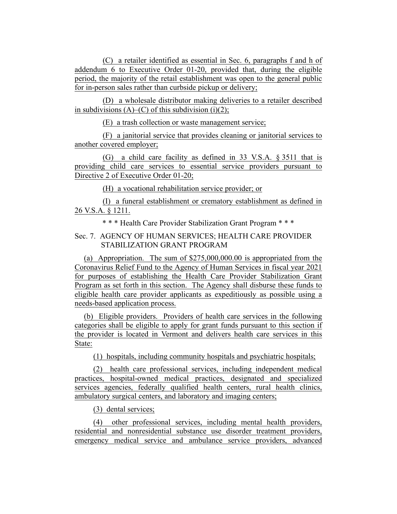(C) a retailer identified as essential in Sec. 6, paragraphs f and h of addendum 6 to Executive Order 01-20, provided that, during the eligible period, the majority of the retail establishment was open to the general public for in-person sales rather than curbside pickup or delivery;

(D) a wholesale distributor making deliveries to a retailer described in subdivisions  $(A)$ – $(C)$  of this subdivision (i)(2);

(E) a trash collection or waste management service;

(F) a janitorial service that provides cleaning or janitorial services to another covered employer;

(G) a child care facility as defined in 33 V.S.A. § 3511 that is providing child care services to essential service providers pursuant to Directive 2 of Executive Order 01-20;

(H) a vocational rehabilitation service provider; or

(I) a funeral establishment or crematory establishment as defined in 26 V.S.A. § 1211.

\* \* \* Health Care Provider Stabilization Grant Program \* \* \*

# Sec. 7. AGENCY OF HUMAN SERVICES; HEALTH CARE PROVIDER STABILIZATION GRANT PROGRAM

(a) Appropriation. The sum of \$275,000,000.00 is appropriated from the Coronavirus Relief Fund to the Agency of Human Services in fiscal year 2021 for purposes of establishing the Health Care Provider Stabilization Grant Program as set forth in this section. The Agency shall disburse these funds to eligible health care provider applicants as expeditiously as possible using a needs-based application process.

(b) Eligible providers. Providers of health care services in the following categories shall be eligible to apply for grant funds pursuant to this section if the provider is located in Vermont and delivers health care services in this State:

(1) hospitals, including community hospitals and psychiatric hospitals;

(2) health care professional services, including independent medical practices, hospital-owned medical practices, designated and specialized services agencies, federally qualified health centers, rural health clinics, ambulatory surgical centers, and laboratory and imaging centers;

(3) dental services;

(4) other professional services, including mental health providers, residential and nonresidential substance use disorder treatment providers, emergency medical service and ambulance service providers, advanced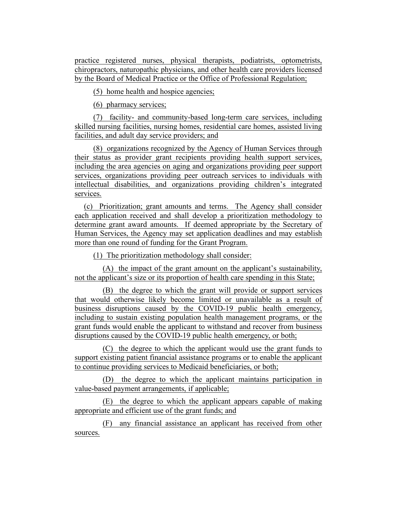practice registered nurses, physical therapists, podiatrists, optometrists, chiropractors, naturopathic physicians, and other health care providers licensed by the Board of Medical Practice or the Office of Professional Regulation;

(5) home health and hospice agencies;

(6) pharmacy services;

(7) facility- and community-based long-term care services, including skilled nursing facilities, nursing homes, residential care homes, assisted living facilities, and adult day service providers; and

(8) organizations recognized by the Agency of Human Services through their status as provider grant recipients providing health support services, including the area agencies on aging and organizations providing peer support services, organizations providing peer outreach services to individuals with intellectual disabilities, and organizations providing children's integrated services.

(c) Prioritization; grant amounts and terms. The Agency shall consider each application received and shall develop a prioritization methodology to determine grant award amounts. If deemed appropriate by the Secretary of Human Services, the Agency may set application deadlines and may establish more than one round of funding for the Grant Program.

(1) The prioritization methodology shall consider:

(A) the impact of the grant amount on the applicant's sustainability, not the applicant's size or its proportion of health care spending in this State;

(B) the degree to which the grant will provide or support services that would otherwise likely become limited or unavailable as a result of business disruptions caused by the COVID-19 public health emergency, including to sustain existing population health management programs, or the grant funds would enable the applicant to withstand and recover from business disruptions caused by the COVID-19 public health emergency, or both;

(C) the degree to which the applicant would use the grant funds to support existing patient financial assistance programs or to enable the applicant to continue providing services to Medicaid beneficiaries, or both;

(D) the degree to which the applicant maintains participation in value-based payment arrangements, if applicable;

(E) the degree to which the applicant appears capable of making appropriate and efficient use of the grant funds; and

(F) any financial assistance an applicant has received from other sources.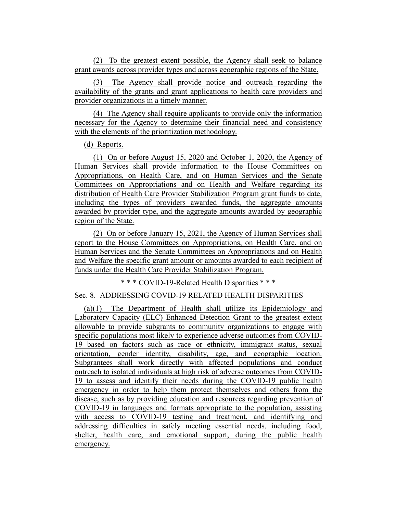(2) To the greatest extent possible, the Agency shall seek to balance grant awards across provider types and across geographic regions of the State.

(3) The Agency shall provide notice and outreach regarding the availability of the grants and grant applications to health care providers and provider organizations in a timely manner.

(4) The Agency shall require applicants to provide only the information necessary for the Agency to determine their financial need and consistency with the elements of the prioritization methodology.

(d) Reports.

(1) On or before August 15, 2020 and October 1, 2020, the Agency of Human Services shall provide information to the House Committees on Appropriations, on Health Care, and on Human Services and the Senate Committees on Appropriations and on Health and Welfare regarding its distribution of Health Care Provider Stabilization Program grant funds to date, including the types of providers awarded funds, the aggregate amounts awarded by provider type, and the aggregate amounts awarded by geographic region of the State.

(2) On or before January 15, 2021, the Agency of Human Services shall report to the House Committees on Appropriations, on Health Care, and on Human Services and the Senate Committees on Appropriations and on Health and Welfare the specific grant amount or amounts awarded to each recipient of funds under the Health Care Provider Stabilization Program.

\* \* \* COVID-19-Related Health Disparities \* \* \*

### Sec. 8. ADDRESSING COVID-19 RELATED HEALTH DISPARITIES

(a)(1) The Department of Health shall utilize its Epidemiology and Laboratory Capacity (ELC) Enhanced Detection Grant to the greatest extent allowable to provide subgrants to community organizations to engage with specific populations most likely to experience adverse outcomes from COVID-19 based on factors such as race or ethnicity, immigrant status, sexual orientation, gender identity, disability, age, and geographic location. Subgrantees shall work directly with affected populations and conduct outreach to isolated individuals at high risk of adverse outcomes from COVID-19 to assess and identify their needs during the COVID-19 public health emergency in order to help them protect themselves and others from the disease, such as by providing education and resources regarding prevention of COVID-19 in languages and formats appropriate to the population, assisting with access to COVID-19 testing and treatment, and identifying and addressing difficulties in safely meeting essential needs, including food, shelter, health care, and emotional support, during the public health emergency.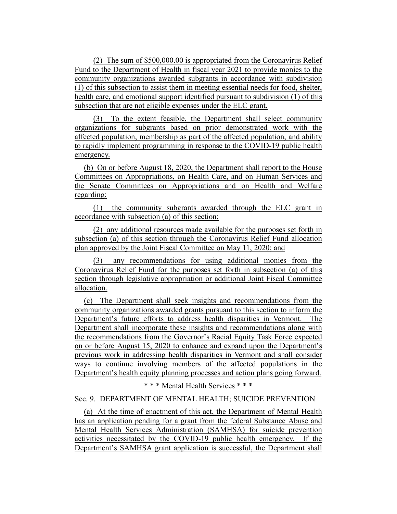(2) The sum of \$500,000.00 is appropriated from the Coronavirus Relief Fund to the Department of Health in fiscal year 2021 to provide monies to the community organizations awarded subgrants in accordance with subdivision (1) of this subsection to assist them in meeting essential needs for food, shelter, health care, and emotional support identified pursuant to subdivision (1) of this subsection that are not eligible expenses under the ELC grant.

(3) To the extent feasible, the Department shall select community organizations for subgrants based on prior demonstrated work with the affected population, membership as part of the affected population, and ability to rapidly implement programming in response to the COVID-19 public health emergency.

(b) On or before August 18, 2020, the Department shall report to the House Committees on Appropriations, on Health Care, and on Human Services and the Senate Committees on Appropriations and on Health and Welfare regarding:

(1) the community subgrants awarded through the ELC grant in accordance with subsection (a) of this section;

(2) any additional resources made available for the purposes set forth in subsection (a) of this section through the Coronavirus Relief Fund allocation plan approved by the Joint Fiscal Committee on May 11, 2020; and

(3) any recommendations for using additional monies from the Coronavirus Relief Fund for the purposes set forth in subsection (a) of this section through legislative appropriation or additional Joint Fiscal Committee allocation.

(c) The Department shall seek insights and recommendations from the community organizations awarded grants pursuant to this section to inform the Department's future efforts to address health disparities in Vermont. The Department shall incorporate these insights and recommendations along with the recommendations from the Governor's Racial Equity Task Force expected on or before August 15, 2020 to enhance and expand upon the Department's previous work in addressing health disparities in Vermont and shall consider ways to continue involving members of the affected populations in the Department's health equity planning processes and action plans going forward.

\* \* \* Mental Health Services \* \* \*

### Sec. 9. DEPARTMENT OF MENTAL HEALTH; SUICIDE PREVENTION

(a) At the time of enactment of this act, the Department of Mental Health has an application pending for a grant from the federal Substance Abuse and Mental Health Services Administration (SAMHSA) for suicide prevention activities necessitated by the COVID-19 public health emergency. If the Department's SAMHSA grant application is successful, the Department shall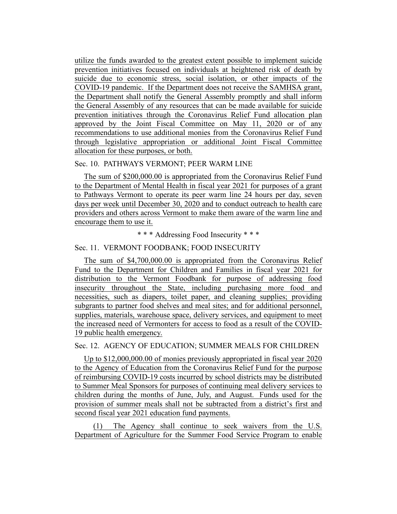utilize the funds awarded to the greatest extent possible to implement suicide prevention initiatives focused on individuals at heightened risk of death by suicide due to economic stress, social isolation, or other impacts of the COVID-19 pandemic. If the Department does not receive the SAMHSA grant, the Department shall notify the General Assembly promptly and shall inform the General Assembly of any resources that can be made available for suicide prevention initiatives through the Coronavirus Relief Fund allocation plan approved by the Joint Fiscal Committee on May 11, 2020 or of any recommendations to use additional monies from the Coronavirus Relief Fund through legislative appropriation or additional Joint Fiscal Committee allocation for these purposes, or both.

#### Sec. 10. PATHWAYS VERMONT; PEER WARM LINE

The sum of \$200,000.00 is appropriated from the Coronavirus Relief Fund to the Department of Mental Health in fiscal year 2021 for purposes of a grant to Pathways Vermont to operate its peer warm line 24 hours per day, seven days per week until December 30, 2020 and to conduct outreach to health care providers and others across Vermont to make them aware of the warm line and encourage them to use it.

\* \* \* Addressing Food Insecurity \* \* \*

### Sec. 11. VERMONT FOODBANK; FOOD INSECURITY

The sum of \$4,700,000.00 is appropriated from the Coronavirus Relief Fund to the Department for Children and Families in fiscal year 2021 for distribution to the Vermont Foodbank for purpose of addressing food insecurity throughout the State, including purchasing more food and necessities, such as diapers, toilet paper, and cleaning supplies; providing subgrants to partner food shelves and meal sites; and for additional personnel, supplies, materials, warehouse space, delivery services, and equipment to meet the increased need of Vermonters for access to food as a result of the COVID-19 public health emergency.

#### Sec. 12. AGENCY OF EDUCATION; SUMMER MEALS FOR CHILDREN

Up to \$12,000,000.00 of monies previously appropriated in fiscal year 2020 to the Agency of Education from the Coronavirus Relief Fund for the purpose of reimbursing COVID-19 costs incurred by school districts may be distributed to Summer Meal Sponsors for purposes of continuing meal delivery services to children during the months of June, July, and August. Funds used for the provision of summer meals shall not be subtracted from a district's first and second fiscal year 2021 education fund payments.

(1) The Agency shall continue to seek waivers from the U.S. Department of Agriculture for the Summer Food Service Program to enable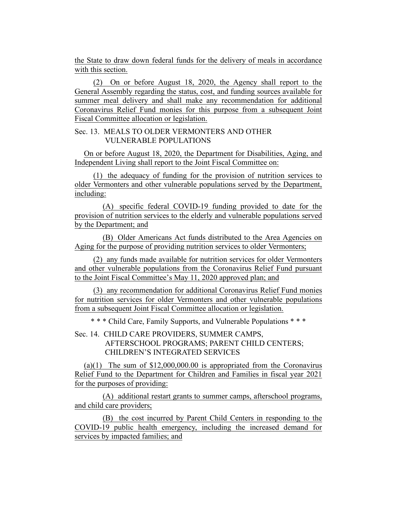the State to draw down federal funds for the delivery of meals in accordance with this section.

(2) On or before August 18, 2020, the Agency shall report to the General Assembly regarding the status, cost, and funding sources available for summer meal delivery and shall make any recommendation for additional Coronavirus Relief Fund monies for this purpose from a subsequent Joint Fiscal Committee allocation or legislation.

## Sec. 13. MEALS TO OLDER VERMONTERS AND OTHER VULNERABLE POPULATIONS

On or before August 18, 2020, the Department for Disabilities, Aging, and Independent Living shall report to the Joint Fiscal Committee on:

(1) the adequacy of funding for the provision of nutrition services to older Vermonters and other vulnerable populations served by the Department, including:

(A) specific federal COVID-19 funding provided to date for the provision of nutrition services to the elderly and vulnerable populations served by the Department; and

(B) Older Americans Act funds distributed to the Area Agencies on Aging for the purpose of providing nutrition services to older Vermonters;

(2) any funds made available for nutrition services for older Vermonters and other vulnerable populations from the Coronavirus Relief Fund pursuant to the Joint Fiscal Committee's May 11, 2020 approved plan; and

(3) any recommendation for additional Coronavirus Relief Fund monies for nutrition services for older Vermonters and other vulnerable populations from a subsequent Joint Fiscal Committee allocation or legislation.

\* \* \* Child Care, Family Supports, and Vulnerable Populations \* \* \*

# Sec. 14. CHILD CARE PROVIDERS, SUMMER CAMPS, AFTERSCHOOL PROGRAMS; PARENT CHILD CENTERS; CHILDREN'S INTEGRATED SERVICES

(a)(1) The sum of  $$12,000,000.00$  is appropriated from the Coronavirus Relief Fund to the Department for Children and Families in fiscal year 2021 for the purposes of providing:

(A) additional restart grants to summer camps, afterschool programs, and child care providers;

(B) the cost incurred by Parent Child Centers in responding to the COVID-19 public health emergency, including the increased demand for services by impacted families; and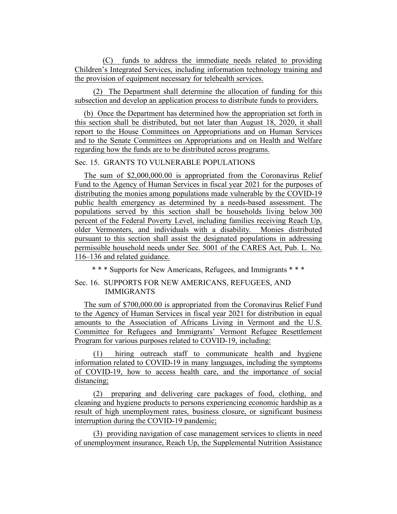(C) funds to address the immediate needs related to providing Children's Integrated Services, including information technology training and the provision of equipment necessary for telehealth services.

(2) The Department shall determine the allocation of funding for this subsection and develop an application process to distribute funds to providers.

(b) Once the Department has determined how the appropriation set forth in this section shall be distributed, but not later than August 18, 2020, it shall report to the House Committees on Appropriations and on Human Services and to the Senate Committees on Appropriations and on Health and Welfare regarding how the funds are to be distributed across programs.

### Sec. 15. GRANTS TO VULNERABLE POPULATIONS

The sum of \$2,000,000.00 is appropriated from the Coronavirus Relief Fund to the Agency of Human Services in fiscal year 2021 for the purposes of distributing the monies among populations made vulnerable by the COVID-19 public health emergency as determined by a needs-based assessment. The populations served by this section shall be households living below 300 percent of the Federal Poverty Level, including families receiving Reach Up, older Vermonters, and individuals with a disability. Monies distributed pursuant to this section shall assist the designated populations in addressing permissible household needs under Sec. 5001 of the CARES Act, Pub. L. No. 116–136 and related guidance.

\* \* \* Supports for New Americans, Refugees, and Immigrants \* \* \*

## Sec. 16. SUPPORTS FOR NEW AMERICANS, REFUGEES, AND IMMIGRANTS

The sum of \$700,000.00 is appropriated from the Coronavirus Relief Fund to the Agency of Human Services in fiscal year 2021 for distribution in equal amounts to the Association of Africans Living in Vermont and the U.S. Committee for Refugees and Immigrants' Vermont Refugee Resettlement Program for various purposes related to COVID-19, including:

(1) hiring outreach staff to communicate health and hygiene information related to COVID-19 in many languages, including the symptoms of COVID-19, how to access health care, and the importance of social distancing;

(2) preparing and delivering care packages of food, clothing, and cleaning and hygiene products to persons experiencing economic hardship as a result of high unemployment rates, business closure, or significant business interruption during the COVID-19 pandemic;

(3) providing navigation of case management services to clients in need of unemployment insurance, Reach Up, the Supplemental Nutrition Assistance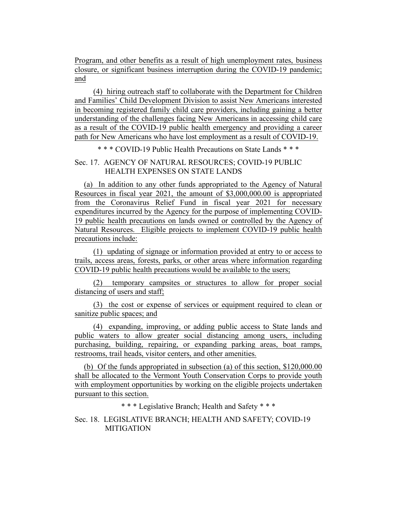Program, and other benefits as a result of high unemployment rates, business closure, or significant business interruption during the COVID-19 pandemic; and

(4) hiring outreach staff to collaborate with the Department for Children and Families' Child Development Division to assist New Americans interested in becoming registered family child care providers, including gaining a better understanding of the challenges facing New Americans in accessing child care as a result of the COVID-19 public health emergency and providing a career path for New Americans who have lost employment as a result of COVID-19.

\* \* \* COVID-19 Public Health Precautions on State Lands \* \* \*

### Sec. 17. AGENCY OF NATURAL RESOURCES; COVID-19 PUBLIC HEALTH EXPENSES ON STATE LANDS

(a) In addition to any other funds appropriated to the Agency of Natural Resources in fiscal year 2021, the amount of \$3,000,000.00 is appropriated from the Coronavirus Relief Fund in fiscal year 2021 for necessary expenditures incurred by the Agency for the purpose of implementing COVID-19 public health precautions on lands owned or controlled by the Agency of Natural Resources. Eligible projects to implement COVID-19 public health precautions include:

(1) updating of signage or information provided at entry to or access to trails, access areas, forests, parks, or other areas where information regarding COVID-19 public health precautions would be available to the users;

(2) temporary campsites or structures to allow for proper social distancing of users and staff;

(3) the cost or expense of services or equipment required to clean or sanitize public spaces; and

(4) expanding, improving, or adding public access to State lands and public waters to allow greater social distancing among users, including purchasing, building, repairing, or expanding parking areas, boat ramps, restrooms, trail heads, visitor centers, and other amenities.

(b) Of the funds appropriated in subsection (a) of this section, \$120,000.00 shall be allocated to the Vermont Youth Conservation Corps to provide youth with employment opportunities by working on the eligible projects undertaken pursuant to this section.

\* \* \* Legislative Branch; Health and Safety \* \* \*

Sec. 18. LEGISLATIVE BRANCH; HEALTH AND SAFETY; COVID-19 **MITIGATION**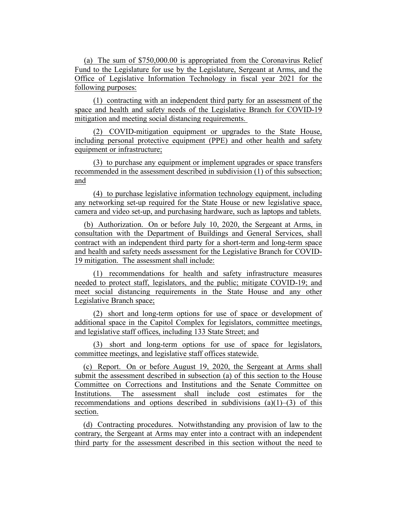(a) The sum of \$750,000.00 is appropriated from the Coronavirus Relief Fund to the Legislature for use by the Legislature, Sergeant at Arms, and the Office of Legislative Information Technology in fiscal year 2021 for the following purposes:

(1) contracting with an independent third party for an assessment of the space and health and safety needs of the Legislative Branch for COVID-19 mitigation and meeting social distancing requirements.

(2) COVID-mitigation equipment or upgrades to the State House, including personal protective equipment (PPE) and other health and safety equipment or infrastructure;

(3) to purchase any equipment or implement upgrades or space transfers recommended in the assessment described in subdivision (1) of this subsection; and

(4) to purchase legislative information technology equipment, including any networking set-up required for the State House or new legislative space, camera and video set-up, and purchasing hardware, such as laptops and tablets.

(b) Authorization. On or before July 10, 2020, the Sergeant at Arms, in consultation with the Department of Buildings and General Services, shall contract with an independent third party for a short-term and long-term space and health and safety needs assessment for the Legislative Branch for COVID-19 mitigation. The assessment shall include:

(1) recommendations for health and safety infrastructure measures needed to protect staff, legislators, and the public; mitigate COVID-19; and meet social distancing requirements in the State House and any other Legislative Branch space;

(2) short and long-term options for use of space or development of additional space in the Capitol Complex for legislators, committee meetings, and legislative staff offices, including 133 State Street; and

(3) short and long-term options for use of space for legislators, committee meetings, and legislative staff offices statewide.

(c) Report. On or before August 19, 2020, the Sergeant at Arms shall submit the assessment described in subsection (a) of this section to the House Committee on Corrections and Institutions and the Senate Committee on Institutions. The assessment shall include cost estimates for the recommendations and options described in subdivisions  $(a)(1)$ – $(3)$  of this section.

(d) Contracting procedures. Notwithstanding any provision of law to the contrary, the Sergeant at Arms may enter into a contract with an independent third party for the assessment described in this section without the need to